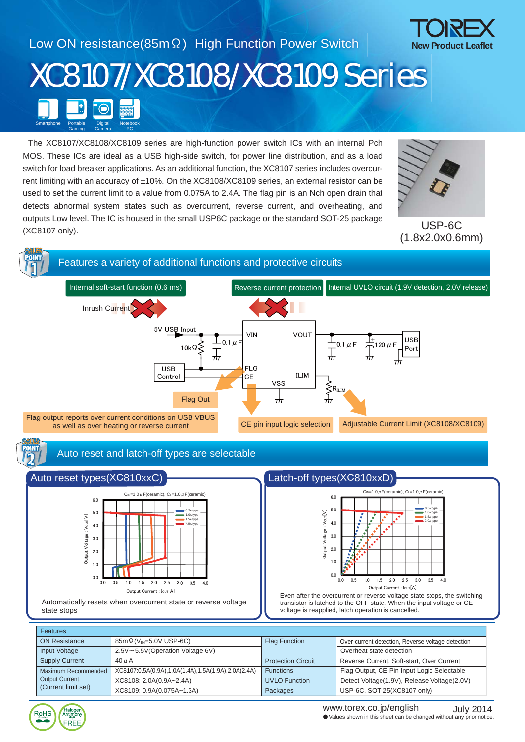#### Low ON resistance(85mΩ) High Function Power Switch XC8107/XC8108/XC8109 Series **New Product Leaflet** Smartphone Portable **Gaming Digital** Camera Notebook PC

The XC8107/XC8108/XC8109 series are high-function power switch ICs with an internal Pch MOS. These ICs are ideal as a USB high-side switch, for power line distribution, and as a load switch for load breaker applications. As an additional function, the XC8107 series includes overcurrent limiting with an accuracy of ±10%. On the XC8108/XC8109 series, an external resistor can be used to set the current limit to a value from 0.075A to 2.4A. The flag pin is an Nch open drain that detects abnormal system states such as overcurrent, reverse current, and overheating, and outputs Low level. The IC is housed in the small USP6C package or the standard SOT-25 package (XC8107 only).



USP-6C (1.8x2.0x0.6mm)